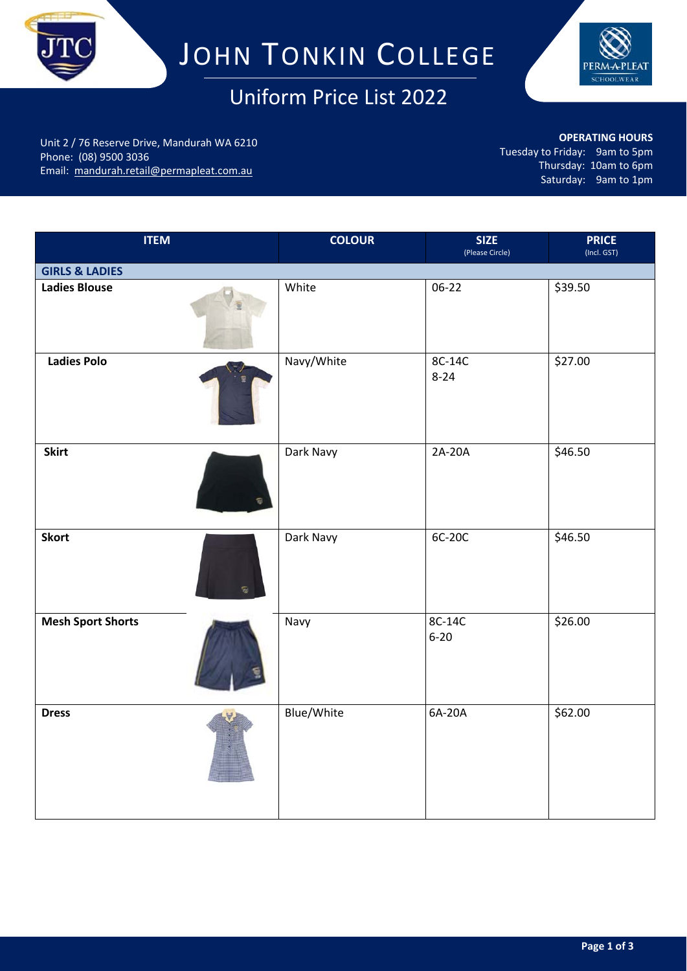

# JOHN TONKIN COLLEGE

## Uniform Price List 2022



Unit 2 / 76 Reserve Drive, Mandurah WA 6210 Phone: (08) 9500 3036 Email: mandurah.retail@permapleat.com.au

**OPERATING HOURS**

Tuesday to Friday: 9am to 5pm Thursday: 10am to 6pm Saturday: 9am to 1pm

| <b>ITEM</b>               | <b>COLOUR</b> | <b>SIZE</b><br>(Please Circle) | <b>PRICE</b><br>(Incl. GST) |
|---------------------------|---------------|--------------------------------|-----------------------------|
| <b>GIRLS &amp; LADIES</b> |               |                                |                             |
| <b>Ladies Blouse</b>      | White         | 06-22                          | \$39.50                     |
| <b>Ladies Polo</b>        | Navy/White    | 8C-14C<br>$8 - 24$             | \$27.00                     |
| <b>Skirt</b>              | Dark Navy     | 2A-20A                         | \$46.50                     |
| <b>Skort</b>              | Dark Navy     | 6C-20C                         | \$46.50                     |
| <b>Mesh Sport Shorts</b>  | Navy          | 8C-14C<br>$6 - 20$             | \$26.00                     |
| <b>Dress</b>              | Blue/White    | 6A-20A                         | \$62.00                     |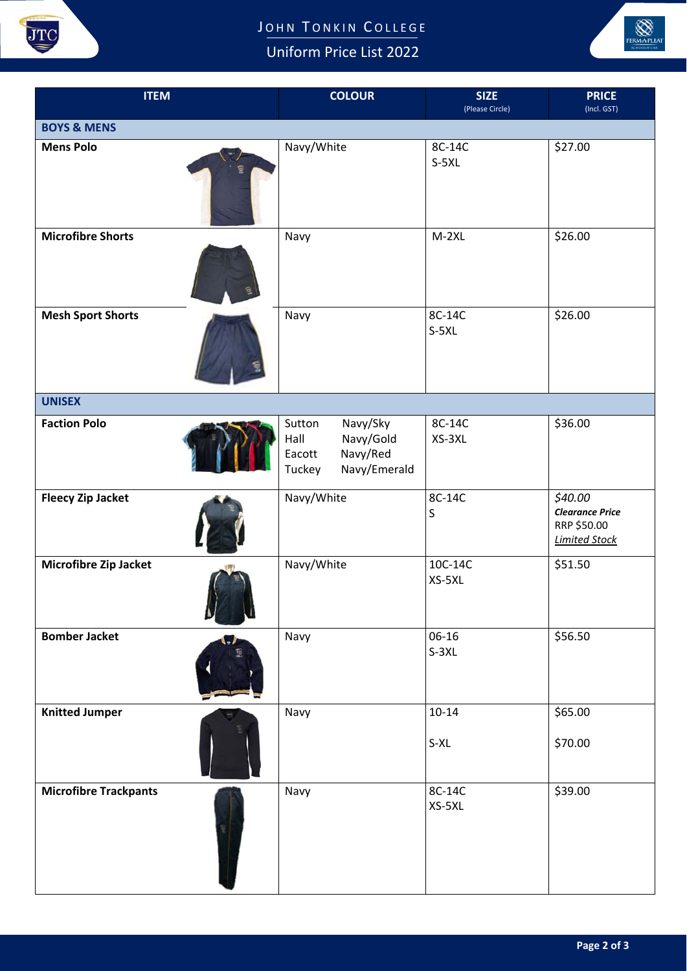

### JOHN TONKIN COLLEGE

Uniform Price List 2022



| <b>ITEM</b>                     | <b>COLOUR</b>                                                                           | <b>SIZE</b><br>(Please Circle) | <b>PRICE</b><br>(Incl. GST)                                              |  |  |  |
|---------------------------------|-----------------------------------------------------------------------------------------|--------------------------------|--------------------------------------------------------------------------|--|--|--|
| <b>BOYS &amp; MENS</b>          |                                                                                         |                                |                                                                          |  |  |  |
| <b>Mens Polo</b>                | Navy/White                                                                              | 8C-14C<br>$S-5XL$              | \$27.00                                                                  |  |  |  |
| <b>Microfibre Shorts</b>        | Navy                                                                                    | $M-2XL$                        | \$26.00                                                                  |  |  |  |
| <b>Mesh Sport Shorts</b>        | Navy                                                                                    | 8C-14C<br>$S-5XL$              | \$26.00                                                                  |  |  |  |
| <b>UNISEX</b>                   |                                                                                         |                                |                                                                          |  |  |  |
| <b>Faction Polo</b>             | Sutton<br>Navy/Sky<br>Navy/Gold<br>Hall<br>Navy/Red<br>Eacott<br>Navy/Emerald<br>Tuckey | 8C-14C<br>XS-3XL               | \$36.00                                                                  |  |  |  |
| <b>Fleecy Zip Jacket</b>        | Navy/White                                                                              | 8C-14C<br>S                    | \$40.00<br><b>Clearance Price</b><br>RRP \$50.00<br><b>Limited Stock</b> |  |  |  |
| Microfibre Zip Jacket<br>u<br>Ш | Navy/White                                                                              | 10C-14C<br>XS-5XL              | \$51.50                                                                  |  |  |  |
| <b>Bomber Jacket</b>            | Navy                                                                                    | 06-16<br>$S-3XL$               | \$56.50                                                                  |  |  |  |
| <b>Knitted Jumper</b>           | Navy                                                                                    | $10 - 14$<br>S-XL              | \$65.00<br>\$70.00                                                       |  |  |  |
| <b>Microfibre Trackpants</b>    | Navy                                                                                    | 8C-14C<br>XS-5XL               | \$39.00                                                                  |  |  |  |